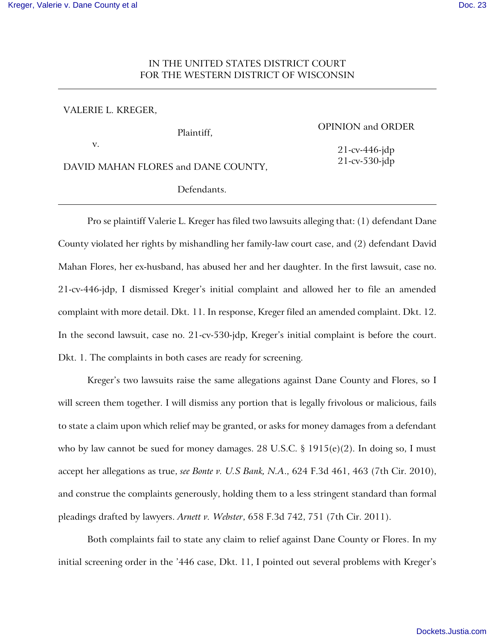# IN THE UNITED STATES DISTRICT COURT FOR THE WESTERN DISTRICT OF WISCONSIN

### VALERIE L. KREGER,

v.

### OPINION and ORDER

21-cv-446-jdp 21-cv-530-jdp

DAVID MAHAN FLORES and DANE COUNTY,

Defendants.

Plaintiff,

Pro se plaintiff Valerie L. Kreger has filed two lawsuits alleging that: (1) defendant Dane County violated her rights by mishandling her family-law court case, and (2) defendant David Mahan Flores, her ex-husband, has abused her and her daughter. In the first lawsuit, case no. 21-cv-446-jdp, I dismissed Kreger's initial complaint and allowed her to file an amended complaint with more detail. Dkt. 11. In response, Kreger filed an amended complaint. Dkt. 12. In the second lawsuit, case no. 21-cv-530-jdp, Kreger's initial complaint is before the court. Dkt. 1. The complaints in both cases are ready for screening.

Kreger's two lawsuits raise the same allegations against Dane County and Flores, so I will screen them together. I will dismiss any portion that is legally frivolous or malicious, fails to state a claim upon which relief may be granted, or asks for money damages from a defendant who by law cannot be sued for money damages. 28 U.S.C. § 1915(e)(2). In doing so, I must accept her allegations as true, *see Bonte v. U.S Bank, N.A*., 624 F.3d 461, 463 (7th Cir. 2010), and construe the complaints generously, holding them to a less stringent standard than formal pleadings drafted by lawyers. *Arnett v. Webster*, 658 F.3d 742, 751 (7th Cir. 2011).

Both complaints fail to state any claim to relief against Dane County or Flores. In my initial screening order in the '446 case, Dkt. 11, I pointed out several problems with Kreger's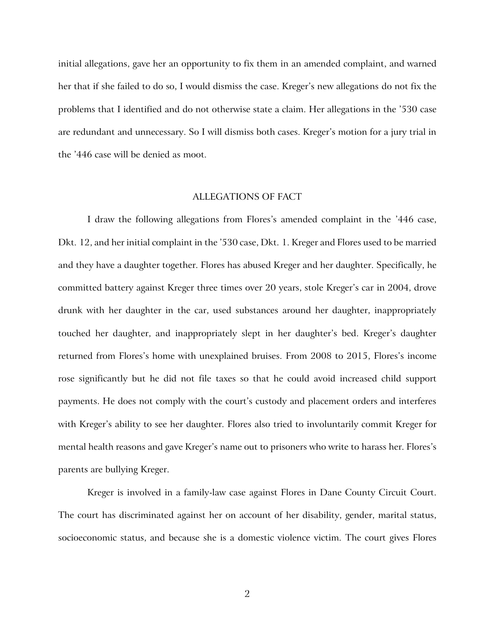initial allegations, gave her an opportunity to fix them in an amended complaint, and warned her that if she failed to do so, I would dismiss the case. Kreger's new allegations do not fix the problems that I identified and do not otherwise state a claim. Her allegations in the '530 case are redundant and unnecessary. So I will dismiss both cases. Kreger's motion for a jury trial in the '446 case will be denied as moot.

### ALLEGATIONS OF FACT

I draw the following allegations from Flores's amended complaint in the '446 case, Dkt. 12, and her initial complaint in the '530 case, Dkt. 1. Kreger and Flores used to be married and they have a daughter together. Flores has abused Kreger and her daughter. Specifically, he committed battery against Kreger three times over 20 years, stole Kreger's car in 2004, drove drunk with her daughter in the car, used substances around her daughter, inappropriately touched her daughter, and inappropriately slept in her daughter's bed. Kreger's daughter returned from Flores's home with unexplained bruises. From 2008 to 2015, Flores's income rose significantly but he did not file taxes so that he could avoid increased child support payments. He does not comply with the court's custody and placement orders and interferes with Kreger's ability to see her daughter. Flores also tried to involuntarily commit Kreger for mental health reasons and gave Kreger's name out to prisoners who write to harass her. Flores's parents are bullying Kreger.

Kreger is involved in a family-law case against Flores in Dane County Circuit Court. The court has discriminated against her on account of her disability, gender, marital status, socioeconomic status, and because she is a domestic violence victim. The court gives Flores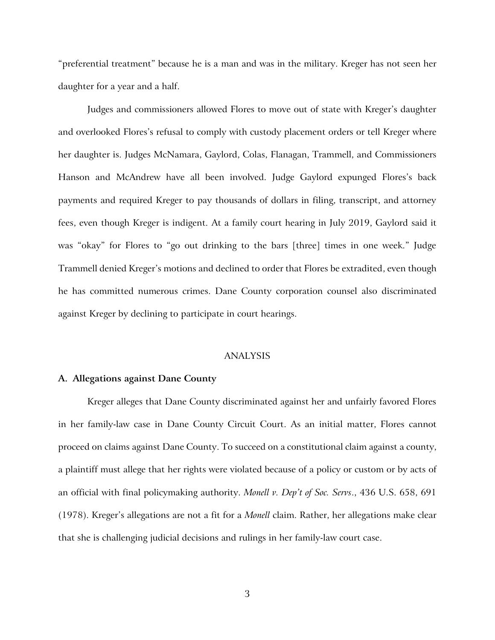"preferential treatment" because he is a man and was in the military. Kreger has not seen her daughter for a year and a half.

Judges and commissioners allowed Flores to move out of state with Kreger's daughter and overlooked Flores's refusal to comply with custody placement orders or tell Kreger where her daughter is. Judges McNamara, Gaylord, Colas, Flanagan, Trammell, and Commissioners Hanson and McAndrew have all been involved. Judge Gaylord expunged Flores's back payments and required Kreger to pay thousands of dollars in filing, transcript, and attorney fees, even though Kreger is indigent. At a family court hearing in July 2019, Gaylord said it was "okay" for Flores to "go out drinking to the bars [three] times in one week." Judge Trammell denied Kreger's motions and declined to order that Flores be extradited, even though he has committed numerous crimes. Dane County corporation counsel also discriminated against Kreger by declining to participate in court hearings.

## ANALYSIS

#### **A. Allegations against Dane County**

Kreger alleges that Dane County discriminated against her and unfairly favored Flores in her family-law case in Dane County Circuit Court. As an initial matter, Flores cannot proceed on claims against Dane County. To succeed on a constitutional claim against a county, a plaintiff must allege that her rights were violated because of a policy or custom or by acts of an official with final policymaking authority. *Monell v. Dep't of Soc. Servs*., 436 U.S. 658, 691 (1978). Kreger's allegations are not a fit for a *Monell* claim. Rather, her allegations make clear that she is challenging judicial decisions and rulings in her family-law court case.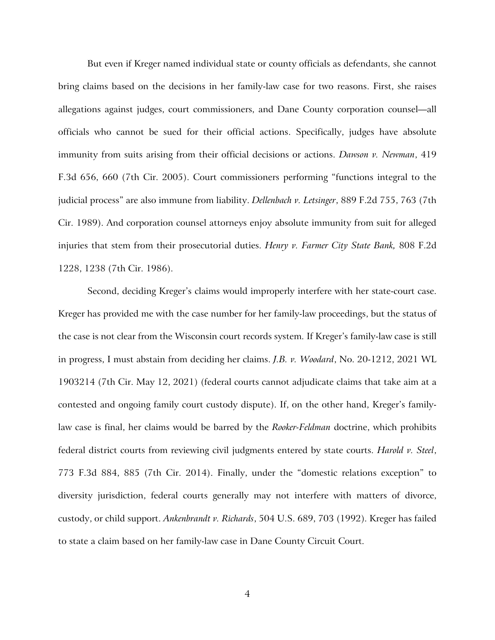But even if Kreger named individual state or county officials as defendants, she cannot bring claims based on the decisions in her family-law case for two reasons. First, she raises allegations against judges, court commissioners, and Dane County corporation counsel—all officials who cannot be sued for their official actions. Specifically, judges have absolute immunity from suits arising from their official decisions or actions. *Dawson v. Newman*, 419 F.3d 656, 660 (7th Cir. 2005). Court commissioners performing "functions integral to the judicial process" are also immune from liability. *Dellenbach v. Letsinger*, 889 F.2d 755, 763 (7th Cir. 1989). And corporation counsel attorneys enjoy absolute immunity from suit for alleged injuries that stem from their prosecutorial duties. *Henry v. Farmer City State Bank,* 808 F.2d 1228, 1238 (7th Cir. 1986).

Second, deciding Kreger's claims would improperly interfere with her state-court case. Kreger has provided me with the case number for her family-law proceedings, but the status of the case is not clear from the Wisconsin court records system. If Kreger's family-law case is still in progress, I must abstain from deciding her claims. *J.B. v. Woodard*, No. 20-1212, 2021 WL 1903214 (7th Cir. May 12, 2021) (federal courts cannot adjudicate claims that take aim at a contested and ongoing family court custody dispute). If, on the other hand, Kreger's familylaw case is final, her claims would be barred by the *Rooker-Feldman* doctrine, which prohibits federal district courts from reviewing civil judgments entered by state courts. *Harold v. Steel*, 773 F.3d 884, 885 (7th Cir. 2014). Finally, under the "domestic relations exception" to diversity jurisdiction, federal courts generally may not interfere with matters of divorce, custody, or child support. *Ankenbrandt v. Richards*, 504 U.S. 689, 703 (1992). Kreger has failed to state a claim based on her family-law case in Dane County Circuit Court.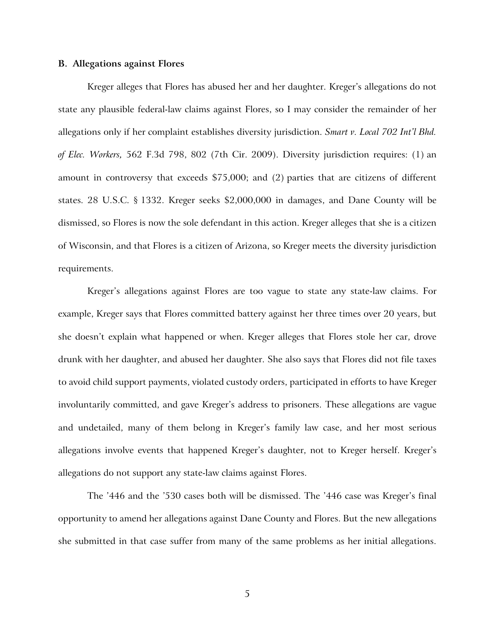#### **B. Allegations against Flores**

Kreger alleges that Flores has abused her and her daughter. Kreger's allegations do not state any plausible federal-law claims against Flores, so I may consider the remainder of her allegations only if her complaint establishes diversity jurisdiction. *Smart v. Local 702 Int'l Bhd. of Elec. Workers,* 562 F.3d 798, 802 (7th Cir. 2009). Diversity jurisdiction requires: (1) an amount in controversy that exceeds \$75,000; and (2) parties that are citizens of different states. 28 U.S.C. § 1332. Kreger seeks \$2,000,000 in damages, and Dane County will be dismissed, so Flores is now the sole defendant in this action. Kreger alleges that she is a citizen of Wisconsin, and that Flores is a citizen of Arizona, so Kreger meets the diversity jurisdiction requirements.

Kreger's allegations against Flores are too vague to state any state-law claims. For example, Kreger says that Flores committed battery against her three times over 20 years, but she doesn't explain what happened or when. Kreger alleges that Flores stole her car, drove drunk with her daughter, and abused her daughter. She also says that Flores did not file taxes to avoid child support payments, violated custody orders, participated in efforts to have Kreger involuntarily committed, and gave Kreger's address to prisoners. These allegations are vague and undetailed, many of them belong in Kreger's family law case, and her most serious allegations involve events that happened Kreger's daughter, not to Kreger herself. Kreger's allegations do not support any state-law claims against Flores.

The '446 and the '530 cases both will be dismissed. The '446 case was Kreger's final opportunity to amend her allegations against Dane County and Flores. But the new allegations she submitted in that case suffer from many of the same problems as her initial allegations.